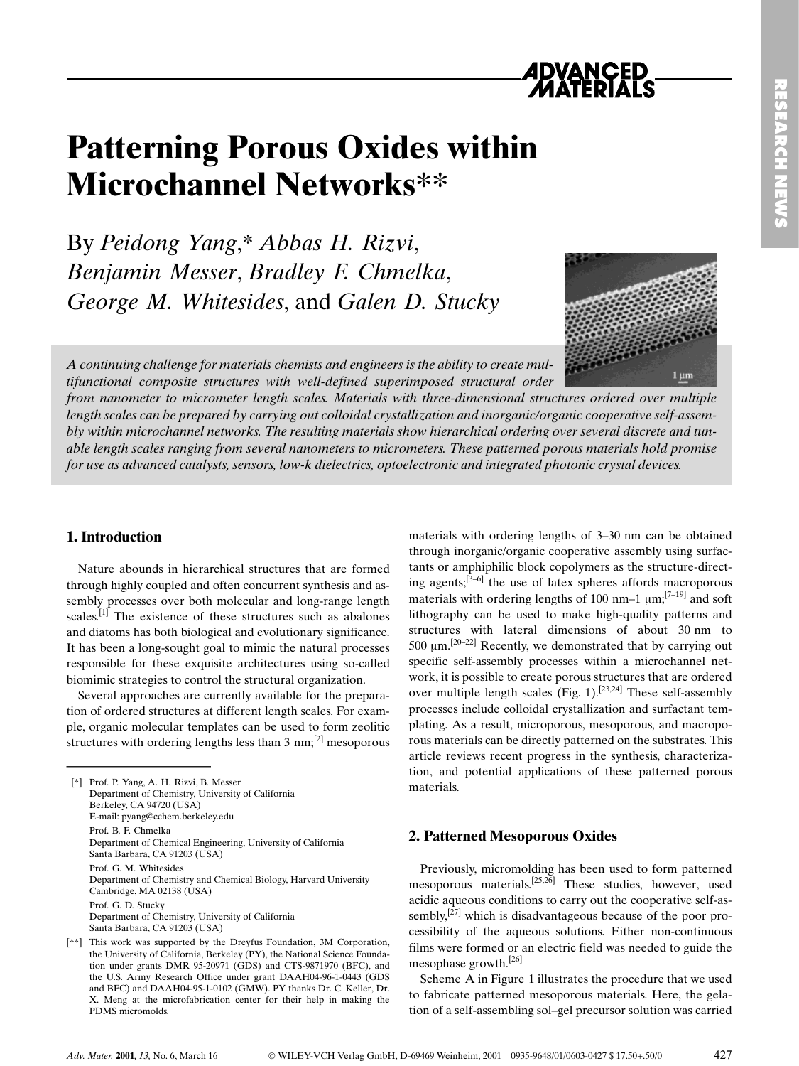

# Patterning Porous Oxides within Microchannel Networks\*\*

By Peidong Yang,\* Abbas H. Rizvi, Benjamin Messer, Bradley F. Chmelka, George M. Whitesides, and Galen D. Stucky



A continuing challenge for materials chemists and engineers is the ability to create multifunctional composite structures with well-defined superimposed structural order

from nanometer to micrometer length scales. Materials with three-dimensional structures ordered over multiple length scales can be prepared by carrying out colloidal crystallization and inorganic/organic cooperative self-assembly within microchannel networks. The resulting materials show hierarchical ordering over several discrete and tunable length scales ranging from several nanometers to micrometers. These patterned porous materials hold promise for use as advanced catalysts, sensors, low-k dielectrics, optoelectronic and integrated photonic crystal devices.

### 1. Introduction

Nature abounds in hierarchical structures that are formed through highly coupled and often concurrent synthesis and assembly processes over both molecular and long-range length scales.<sup>[1]</sup> The existence of these structures such as abalones and diatoms has both biological and evolutionary significance. It has been a long-sought goal to mimic the natural processes responsible for these exquisite architectures using so-called biomimic strategies to control the structural organization. Nature abounds in hierar<br>through highly coupled and<br>sembly processes over both<br>scales.<sup>[1]</sup> The existence of t<br>and diatoms has both biolog<br>It has been a long-sought g<br>responsible for these exqu<br>biomimic strategies to cont

Several approaches are currently available for the preparation of ordered structures at different length scales. For example, organic molecular templates can be used to form zeolitic structures with ordering lengths less than 3 nm;<sup>[2]</sup> mesoporous

[\*] Prof. P. Yang, A. H. Rizvi, B. Messer Department of Chemistry, University of California Berkeley, CA 94720 (USA) E-mail: pyang@cchem.berkeley.edu Prof. B. F. Chmelka Department of Chemical Engineering, University of California Santa Barbara, CA 91203 (USA) Prof. G. M. Whitesides Department of Chemistry and Chemical Biology, Harvard University Cambridge, MA 02138 (USA) Prof. G. D. Stucky Department of Chemistry, University of California Santa Barbara, CA 91203 (USA)

materials with ordering lengths of 3-30 nm can be obtained through inorganic/organic cooperative assembly using surfactants or amphiphilic block copolymers as the structure-directing agents; $\left[3-6\right]$  the use of latex spheres affords macroporous materials with ordering lengths of 100 nm $-1$   $\mu$ m;<sup>[7-19]</sup> and soft lithography can be used to make high-quality patterns and structures with lateral dimensions of about 30 nm to 500 um.<sup>[20-22]</sup> Recently, we demonstrated that by carrying out specific self-assembly processes within a microchannel network, it is possible to create porous structures that are ordered over multiple length scales  $(Fig. 1)$ .<sup>[23,24]</sup> These self-assembly processes include colloidal crystallization and surfactant templating. As a result, microporous, mesoporous, and macroporous materials can be directly patterned on the substrates. This article reviews recent progress in the synthesis, characterization, and potential applications of these patterned porous materials.

## 2. Patterned Mesoporous Oxides

Previously, micromolding has been used to form patterned mesoporous materials.[25,26] These studies, however, used acidic aqueous conditions to carry out the cooperative self-assembly, $[27]$  which is disadvantageous because of the poor processibility of the aqueous solutions. Either non-continuous films were formed or an electric field was needed to guide the mesophase growth.[26]

Scheme A in Figure 1 illustrates the procedure that we used to fabricate patterned mesoporous materials. Here, the gelation of a self-assembling sol-gel precursor solution was carried

<sup>[\*\*]</sup> This work was supported by the Dreyfus Foundation, 3M Corporation, the University of California, Berkeley (PY), the National Science Foundation under grants DMR 95-20971 (GDS) and CTS-9871970 (BFC), and the U.S. Army Research Office under grant DAAH04-96-1-0443 (GDS and BFC) and DAAH04-95-1-0102 (GMW). PY thanks Dr. C. Keller, Dr. X. Meng at the microfabrication center for their help in making the PDMS micromolds.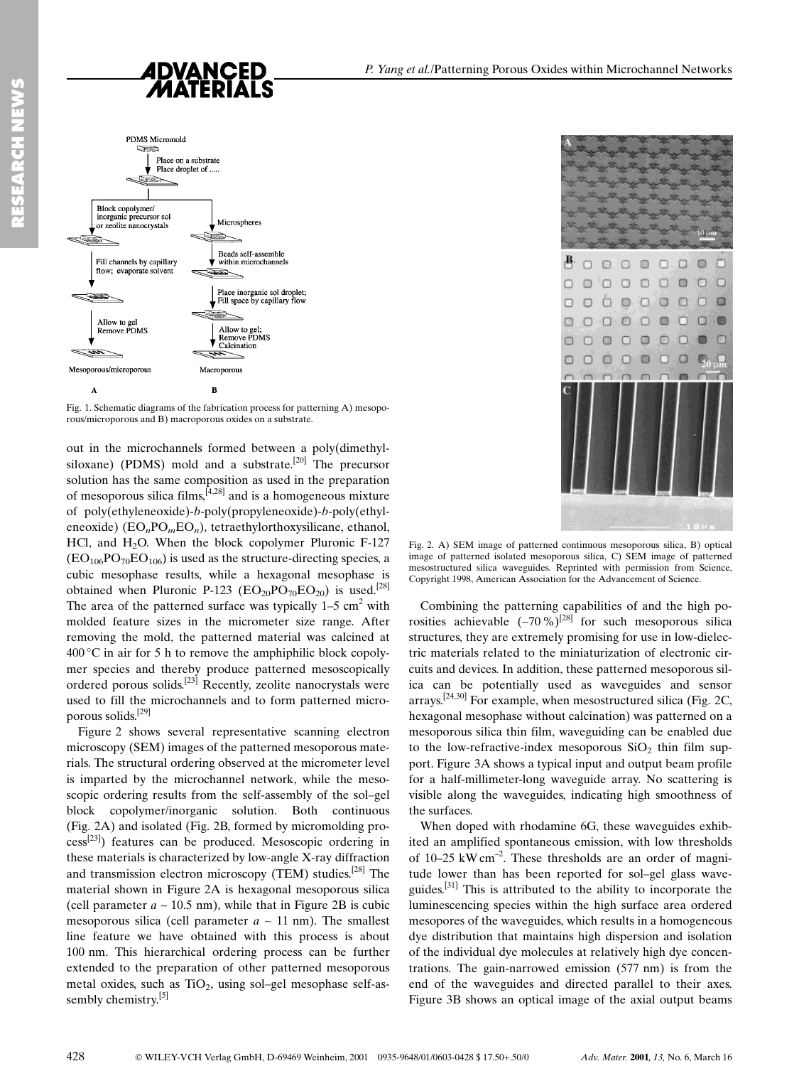

Fig. 1. Schematic diagrams of the fabrication process for patterning A) mesoporous/microporous and B) macroporous oxides on a substrate.

out in the microchannels formed between a poly(dimethylsiloxane) (PDMS) mold and a substrate.<sup>[20]</sup> The precursor solution has the same composition as used in the preparation of mesoporous silica films,  $[4,28]$  and is a homogeneous mixture of poly(ethyleneoxide)-b-poly(propyleneoxide)-b-poly(ethyleneoxide)  $(EO<sub>n</sub>PO<sub>m</sub>EO<sub>n</sub>)$ , tetraethylorthoxysilicane, ethanol, HCl, and  $H_2O$ . When the block copolymer Pluronic F-127  $(EO<sub>106</sub>PO<sub>70</sub>EO<sub>106</sub>)$  is used as the structure-directing species, a cubic mesophase results, while a hexagonal mesophase is obtained when Pluronic P-123 ( $EO_{20}PO_{70}EO_{20}$ ) is used.<sup>[28]</sup> The area of the patterned surface was typically  $1-5$  cm<sup>2</sup> with molded feature sizes in the micrometer size range. After removing the mold, the patterned material was calcined at  $400\degree$ C in air for 5 h to remove the amphiphilic block copolymer species and thereby produce patterned mesoscopically ordered porous solids.[23] Recently, zeolite nanocrystals were used to fill the microchannels and to form patterned microporous solids.[29]

Figure 2 shows several representative scanning electron microscopy (SEM) images of the patterned mesoporous materials. The structural ordering observed at the micrometer level is imparted by the microchannel network, while the mesoscopic ordering results from the self-assembly of the sol-gel block copolymer/inorganic solution. Both continuous (Fig. 2A) and isolated (Fig. 2B, formed by micromolding process[23]) features can be produced. Mesoscopic ordering in these materials is characterized by low-angle X-ray diffraction and transmission electron microscopy (TEM) studies.<sup>[28]</sup> The material shown in Figure 2A is hexagonal mesoporous silica (cell parameter  $a \sim 10.5$  nm), while that in Figure 2B is cubic mesoporous silica (cell parameter  $a \sim 11$  nm). The smallest line feature we have obtained with this process is about 100 nm. This hierarchical ordering process can be further extended to the preparation of other patterned mesoporous metal oxides, such as  $TiO<sub>2</sub>$ , using sol-gel mesophase self-assembly chemistry.<sup>[5]</sup>



Fig. 2. A) SEM image of patterned continuous mesoporous silica, B) optical image of patterned isolated mesoporous silica, C) SEM image of patterned mesostructured silica waveguides. Reprinted with permission from Science, Copyright 1998, American Association for the Advancement of Science.

Combining the patterning capabilities of and the high porosities achievable  $(-70\%)^{[28]}$  for such mesoporous silica structures, they are extremely promising for use in low-dielectric materials related to the miniaturization of electronic circuits and devices. In addition, these patterned mesoporous silica can be potentially used as waveguides and sensor arrays.<sup>[24,30]</sup> For example, when mesostructured silica (Fig. 2C, hexagonal mesophase without calcination) was patterned on a mesoporous silica thin film, waveguiding can be enabled due to the low-refractive-index mesoporous  $SiO<sub>2</sub>$  thin film support. Figure 3A shows a typical input and output beam profile for a half-millimeter-long waveguide array. No scattering is visible along the waveguides, indicating high smoothness of the surfaces.

When doped with rhodamine 6G, these waveguides exhibited an amplified spontaneous emission, with low thresholds of  $10-25$  kW cm<sup>-2</sup>. These thresholds are an order of magnitude lower than has been reported for sol-gel glass waveguides.<sup>[31]</sup> This is attributed to the ability to incorporate the luminescencing species within the high surface area ordered mesopores of the waveguides, which results in a homogeneous dye distribution that maintains high dispersion and isolation of the individual dye molecules at relatively high dye concentrations. The gain-narrowed emission (577 nm) is from the end of the waveguides and directed parallel to their axes. Figure 3B shows an optical image of the axial output beams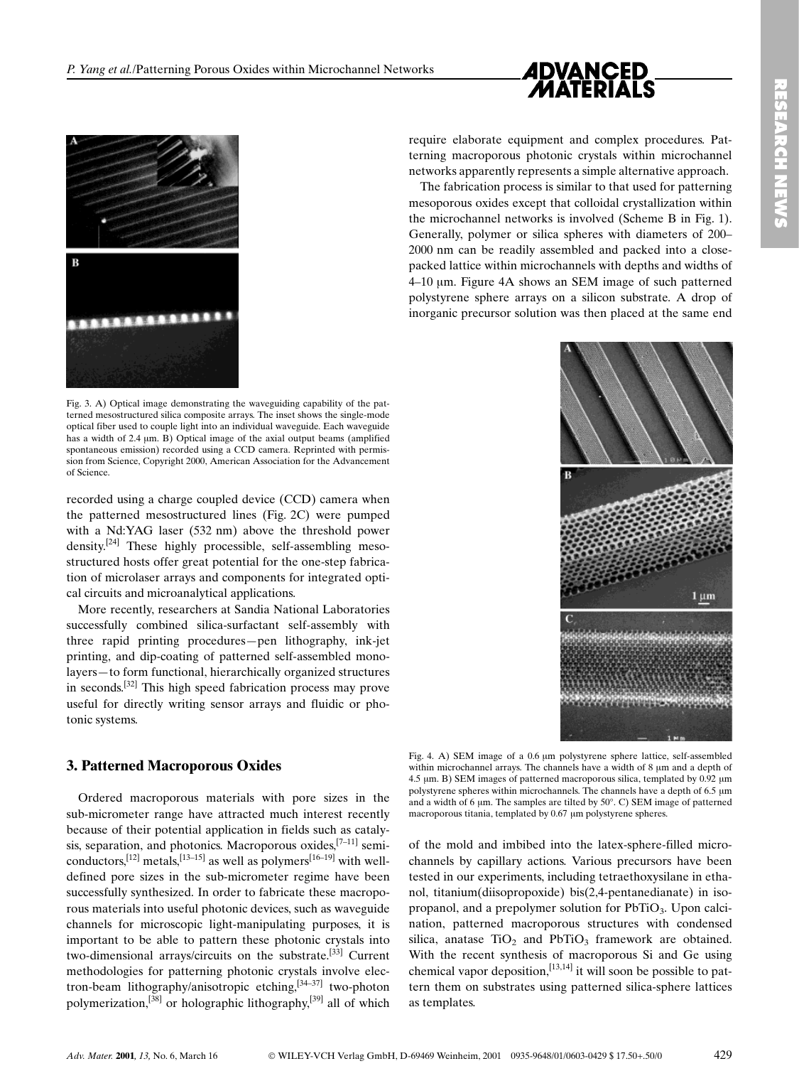



Fig. 3. A) Optical image demonstrating the waveguiding capability of the patterned mesostructured silica composite arrays. The inset shows the single-mode optical fiber used to couple light into an individual waveguide. Each waveguide has a width of 2.4 µm. B) Optical image of the axial output beams (amplified spontaneous emission) recorded using a CCD camera. Reprinted with permission from Science, Copyright 2000, American Association for the Advancement of Science.

recorded using a charge coupled device (CCD) camera when the patterned mesostructured lines (Fig. 2C) were pumped with a Nd:YAG laser (532 nm) above the threshold power density.[24] These highly processible, self-assembling mesostructured hosts offer great potential for the one-step fabrication of microlaser arrays and components for integrated optical circuits and microanalytical applications.

More recently, researchers at Sandia National Laboratories successfully combined silica-surfactant self-assembly with three rapid printing procedures-pen lithography, ink-jet printing, and dip-coating of patterned self-assembled monolayers-to form functional, hierarchically organized structures in seconds.[32] This high speed fabrication process may prove useful for directly writing sensor arrays and fluidic or photonic systems.

## 3. Patterned Macroporous Oxides

Ordered macroporous materials with pore sizes in the sub-micrometer range have attracted much interest recently because of their potential application in fields such as catalysis, separation, and photonics. Macroporous oxides,<sup>[7-11]</sup> semiconductors,<sup>[12]</sup> metals,<sup>[13-15]</sup> as well as polymers<sup>[16-19]</sup> with welldefined pore sizes in the sub-micrometer regime have been successfully synthesized. In order to fabricate these macroporous materials into useful photonic devices, such as waveguide channels for microscopic light-manipulating purposes, it is important to be able to pattern these photonic crystals into two-dimensional arrays/circuits on the substrate.[33] Current methodologies for patterning photonic crystals involve electron-beam lithography/anisotropic etching,[34±37] two-photon polymerization,<sup>[38]</sup> or holographic lithography,<sup>[39]</sup> all of which require elaborate equipment and complex procedures. Patterning macroporous photonic crystals within microchannel networks apparently represents a simple alternative approach.

The fabrication process is similar to that used for patterning mesoporous oxides except that colloidal crystallization within the microchannel networks is involved (Scheme B in Fig. 1). Generally, polymer or silica spheres with diameters of 200– 2000 nm can be readily assembled and packed into a closepacked lattice within microchannels with depths and widths of 4±10 lm. Figure 4A shows an SEM image of such patterned polystyrene sphere arrays on a silicon substrate. A drop of inorganic precursor solution was then placed at the same end



Fig. 4. A) SEM image of a 0.6 µm polystyrene sphere lattice, self-assembled within microchannel arrays. The channels have a width of 8  $\mu$ m and a depth of 4.5  $\mu$ m. B) SEM images of patterned macroporous silica, templated by 0.92  $\mu$ m polystyrene spheres within microchannels. The channels have a depth of 6.5 µm and a width of 6  $\mu$ m. The samples are tilted by 50°. C) SEM image of patterned macroporous titania, templated by 0.67 µm polystyrene spheres.

of the mold and imbibed into the latex-sphere-filled microchannels by capillary actions. Various precursors have been tested in our experiments, including tetraethoxysilane in ethanol, titanium(diisopropoxide) bis(2,4-pentanedianate) in isopropanol, and a prepolymer solution for PbTiO<sub>3</sub>. Upon calcination, patterned macroporous structures with condensed silica, anatase  $TiO<sub>2</sub>$  and  $PbTiO<sub>3</sub>$  framework are obtained. With the recent synthesis of macroporous Si and Ge using chemical vapor deposition,  $\left[13,14\right]$  it will soon be possible to pattern them on substrates using patterned silica-sphere lattices as templates.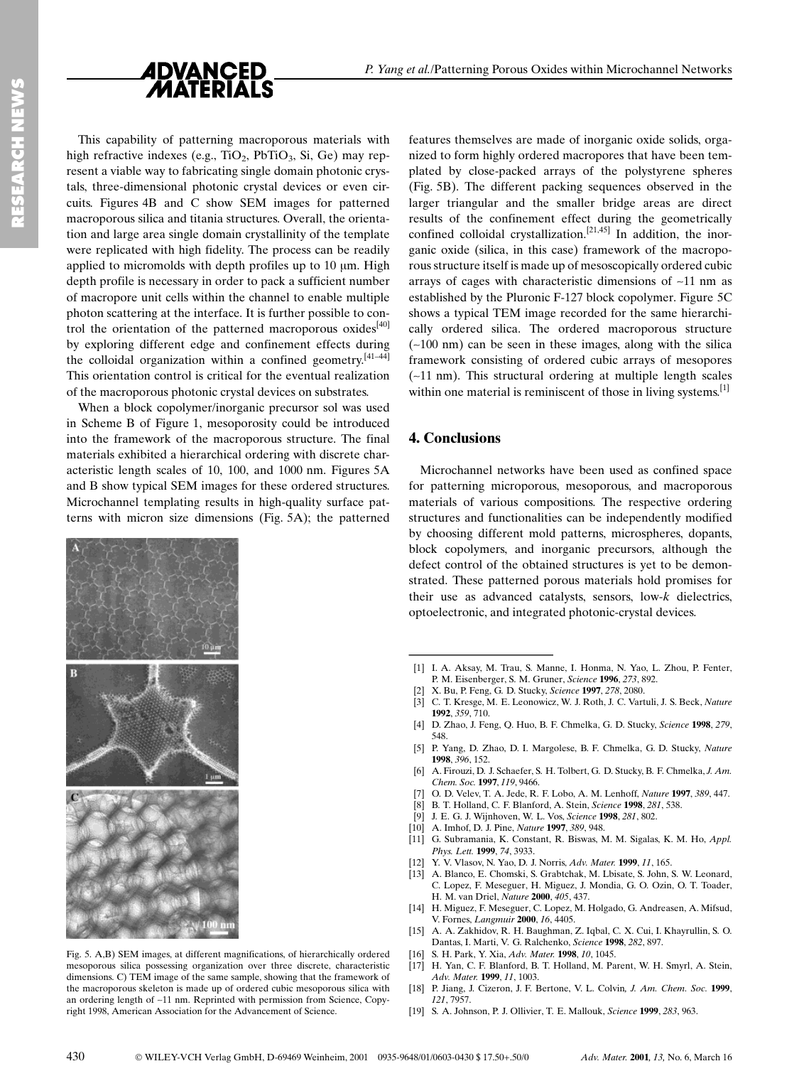

This capability of patterning macroporous materials with high refractive indexes (e.g.,  $TiO<sub>2</sub>$ ,  $PbTiO<sub>3</sub>$ ,  $Si$ ,  $Ge$ ) may represent a viable way to fabricating single domain photonic crystals, three-dimensional photonic crystal devices or even circuits. Figures 4B and C show SEM images for patterned macroporous silica and titania structures. Overall, the orientation and large area single domain crystallinity of the template were replicated with high fidelity. The process can be readily applied to micromolds with depth profiles up to  $10 \mu m$ . High depth profile is necessary in order to pack a sufficient number of macropore unit cells within the channel to enable multiple photon scattering at the interface. It is further possible to control the orientation of the patterned macroporous oxides<sup>[40]</sup> by exploring different edge and confinement effects during the colloidal organization within a confined geometry. $[41-44]$ This orientation control is critical for the eventual realization of the macroporous photonic crystal devices on substrates.

When a block copolymer/inorganic precursor sol was used in Scheme B of Figure 1, mesoporosity could be introduced into the framework of the macroporous structure. The final materials exhibited a hierarchical ordering with discrete characteristic length scales of 10, 100, and 1000 nm. Figures 5A and B show typical SEM images for these ordered structures. Microchannel templating results in high-quality surface patterns with micron size dimensions (Fig. 5A); the patterned



Fig. 5. A,B) SEM images, at different magnifications, of hierarchically ordered mesoporous silica possessing organization over three discrete, characteristic dimensions. C) TEM image of the same sample, showing that the framework of the macroporous skeleton is made up of ordered cubic mesoporous silica with an ordering length of ~11 nm. Reprinted with permission from Science, Copyright 1998, American Association for the Advancement of Science.

features themselves are made of inorganic oxide solids, organized to form highly ordered macropores that have been templated by close-packed arrays of the polystyrene spheres (Fig. 5B). The different packing sequences observed in the larger triangular and the smaller bridge areas are direct results of the confinement effect during the geometrically confined colloidal crystallization.<sup>[21,45]</sup> In addition, the inorganic oxide (silica, in this case) framework of the macroporous structure itself is made up of mesoscopically ordered cubic arrays of cages with characteristic dimensions of ~11 nm as established by the Pluronic F-127 block copolymer. Figure 5C shows a typical TEM image recorded for the same hierarchically ordered silica. The ordered macroporous structure  $(-100 \text{ nm})$  can be seen in these images, along with the silica framework consisting of ordered cubic arrays of mesopores (~11 nm). This structural ordering at multiple length scales within one material is reminiscent of those in living systems.<sup>[1]</sup>

## 4. Conclusions

Microchannel networks have been used as confined space for patterning microporous, mesoporous, and macroporous materials of various compositions. The respective ordering structures and functionalities can be independently modified by choosing different mold patterns, microspheres, dopants, block copolymers, and inorganic precursors, although the defect control of the obtained structures is yet to be demonstrated. These patterned porous materials hold promises for their use as advanced catalysts, sensors, low-k dielectrics, optoelectronic, and integrated photonic-crystal devices. Microchannel networks h<br>for patterning microporous<br>materials of various comp<br>structures and functionalitie<br>by choosing different mold<br>block copolymers, and in<br>defect control of the obtain<br>strated. These patterned po<br>their

- [2] X. Bu, P. Feng, G. D. Stucky, Science 1997, 278, 2080.
- [3] C. T. Kresge, M. E. Leonowicz, W. J. Roth, J. C. Vartuli, J. S. Beck, Nature 1992, 359, 710.
- [4] D. Zhao, J. Feng, Q. Huo, B. F. Chmelka, G. D. Stucky, Science 1998, 279, 548.
- [5] P. Yang, D. Zhao, D. I. Margolese, B. F. Chmelka, G. D. Stucky, Nature 1998, 396, 152.
- [6] A. Firouzi, D. J. Schaefer, S. H. Tolbert, G. D. Stucky, B. F. Chmelka, J. Am. Chem. Soc. 1997, 119, 9466.
- O. D. Velev, T. A. Jede, R. F. Lobo, A. M. Lenhoff, Nature 1997, 389, 447.
- [8] B. T. Holland, C. F. Blanford, A. Stein, Science 1998, 281, 538.
- [9] J. E. G. J. Wijnhoven, W. L. Vos, Science 1998, 281, 802.
- [10] A. Imhof, D. J. Pine, Nature 1997, 389, 948.
- [11] G. Subramania, K. Constant, R. Biswas, M. M. Sigalas, K. M. Ho, Appl. Phys. Lett. 1999, 74, 3933.
- [12] Y. V. Vlasov, N. Yao, D. J. Norris, Adv. Mater. 1999, 11, 165.
- [13] A. Blanco, E. Chomski, S. Grabtchak, M. Lbisate, S. John, S. W. Leonard, C. Lopez, F. Meseguer, H. Miguez, J. Mondia, G. O. Ozin, O. T. Toader, H. M. van Driel, Nature 2000, 405, 437.
- [14] H. Miguez, F. Meseguer, C. Lopez, M. Holgado, G. Andreasen, A. Mifsud, V. Fornes, Langmuir 2000, 16, 4405.
- [15] A. A. Zakhidov, R. H. Baughman, Z. Iqbal, C. X. Cui, I. Khayrullin, S. O. Dantas, I. Marti, V. G. Ralchenko, Science 1998, 282, 897.
- [16] S. H. Park, Y. Xia, Adv. Mater. 1998, 10, 1045.
- [17] H. Yan, C. F. Blanford, B. T. Holland, M. Parent, W. H. Smyrl, A. Stein, Adv. Mater. 1999, 11, 1003.
- [18] P. Jiang, J. Cizeron, J. F. Bertone, V. L. Colvin, *J. Am. Chem. Soc.* 1999, 121, 7957.
- [19] S. A. Johnson, P. J. Ollivier, T. E. Mallouk, Science 1999, 283, 963.

<sup>[1]</sup> I. A. Aksay, M. Trau, S. Manne, I. Honma, N. Yao, L. Zhou, P. Fenter, P. M. Eisenberger, S. M. Gruner, Science 1996, 273, 892.